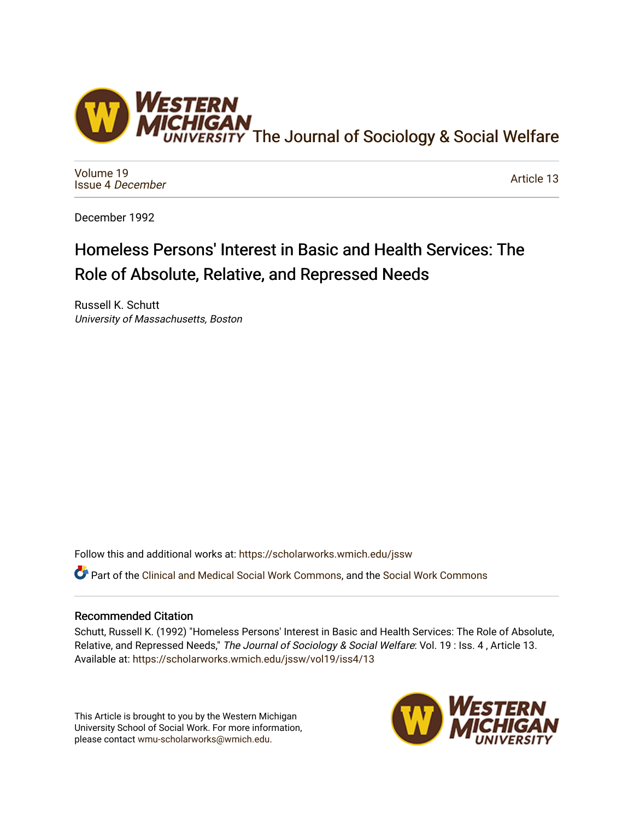

[Volume 19](https://scholarworks.wmich.edu/jssw/vol19) [Issue 4](https://scholarworks.wmich.edu/jssw/vol19/iss4) December

[Article 13](https://scholarworks.wmich.edu/jssw/vol19/iss4/13) 

December 1992

# Homeless Persons' Interest in Basic and Health Services: The Role of Absolute, Relative, and Repressed Needs

Russell K. Schutt University of Massachusetts, Boston

Follow this and additional works at: [https://scholarworks.wmich.edu/jssw](https://scholarworks.wmich.edu/jssw?utm_source=scholarworks.wmich.edu%2Fjssw%2Fvol19%2Fiss4%2F13&utm_medium=PDF&utm_campaign=PDFCoverPages) 

**C**<sup> $\bullet$ </sup> Part of the [Clinical and Medical Social Work Commons,](http://network.bepress.com/hgg/discipline/712?utm_source=scholarworks.wmich.edu%2Fjssw%2Fvol19%2Fiss4%2F13&utm_medium=PDF&utm_campaign=PDFCoverPages) and the [Social Work Commons](http://network.bepress.com/hgg/discipline/713?utm_source=scholarworks.wmich.edu%2Fjssw%2Fvol19%2Fiss4%2F13&utm_medium=PDF&utm_campaign=PDFCoverPages)

## Recommended Citation

Schutt, Russell K. (1992) "Homeless Persons' Interest in Basic and Health Services: The Role of Absolute, Relative, and Repressed Needs," The Journal of Sociology & Social Welfare: Vol. 19 : Iss. 4, Article 13. Available at: [https://scholarworks.wmich.edu/jssw/vol19/iss4/13](https://scholarworks.wmich.edu/jssw/vol19/iss4/13?utm_source=scholarworks.wmich.edu%2Fjssw%2Fvol19%2Fiss4%2F13&utm_medium=PDF&utm_campaign=PDFCoverPages) 

This Article is brought to you by the Western Michigan University School of Social Work. For more information, please contact [wmu-scholarworks@wmich.edu.](mailto:wmu-scholarworks@wmich.edu)

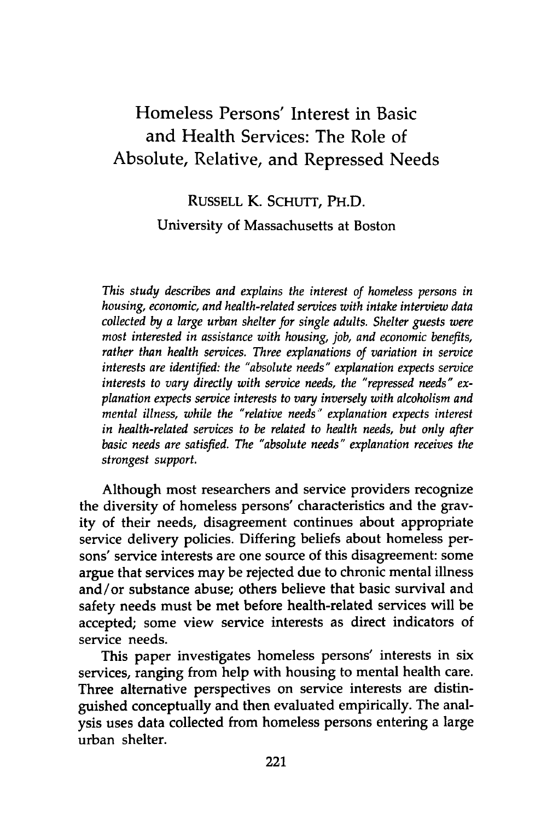## Homeless Persons' Interest in Basic and Health Services: The Role of Absolute, Relative, and Repressed Needs

## RUSSELL K. **SCHUTT,** PH.D. University of Massachusetts at Boston

*This study describes and explains the interest of homeless persons in housing, economic, and health-related services with intake interview data collected by a large urban shelter for single adults. Shelter guests were most interested in assistance with housing, job, and economic benefits, rather than health services. Three explanations of variation in service interests are identified: the "absolute needs" explanation expects service interests to vary directly with service needs, the "repressed needs" explanation expects service interests to vary inversely with alcoholism and mental illness, while the "relative needs" explanation expects interest in health-related services to be related to health needs, but only after basic needs are satisfied. The "absolute needs" explanation receives the strongest support.*

Although most researchers and service providers recognize the diversity of homeless persons' characteristics and the gravity of their needs, disagreement continues about appropriate service delivery policies. Differing beliefs about homeless persons' service interests are one source of this disagreement: some argue that services may be rejected due to chronic mental illness and/or substance abuse; others believe that basic survival and safety needs must be met before health-related services will be accepted; some view service interests as direct indicators of service needs.

This paper investigates homeless persons' interests in six services, ranging from help with housing to mental health care. Three alternative perspectives on service interests are distinguished conceptually and then evaluated empirically. The analysis uses data collected from homeless persons entering a large urban shelter.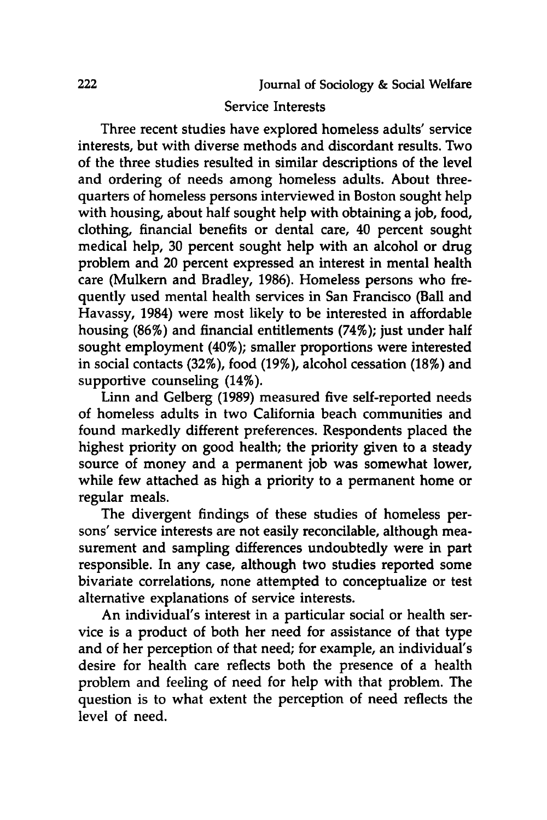## Service Interests

Three recent studies have explored homeless adults' service interests, but with diverse methods and discordant results. Two of the three studies resulted in similar descriptions of the level and ordering of needs among homeless adults. About threequarters of homeless persons interviewed in Boston sought help with housing, about half sought help with obtaining a **job,** food, clothing, financial benefits or dental care, 40 percent sought medical help, **30** percent sought help with an alcohol or drug problem and 20 percent expressed an interest in mental health care (Mulkern and Bradley, **1986).** Homeless persons who frequently used mental health services in San Francisco (Ball and Havassy, 1984) were most likely to be interested in affordable housing (86%) and financial entitlements (74%); just under half sought employment (40%); smaller proportions were interested in social contacts **(32%),** food **(19%),** alcohol cessation **(18%)** and supportive counseling (14%).

Linn and Gelberg **(1989)** measured five self-reported needs of homeless adults in two California beach communities and found markedly different preferences. Respondents placed the highest priority on good health; the priority given to a steady source of money and a permanent **job** was somewhat lower, while few attached as high a priority to a permanent home or regular meals.

The divergent findings of these studies of homeless persons' service interests are not easily reconcilable, although measurement and sampling differences undoubtedly were in part responsible. In any case, although two studies reported some bivariate correlations, none attempted to conceptualize or test alternative explanations of service interests.

An individual's interest in a particular social or health service is a product of both her need for assistance of that type and of her perception of that need; for example, an individual's desire for health care reflects both the presence of a health problem and feeling of need for help with that problem. The question is to what extent the perception of need reflects the level of need.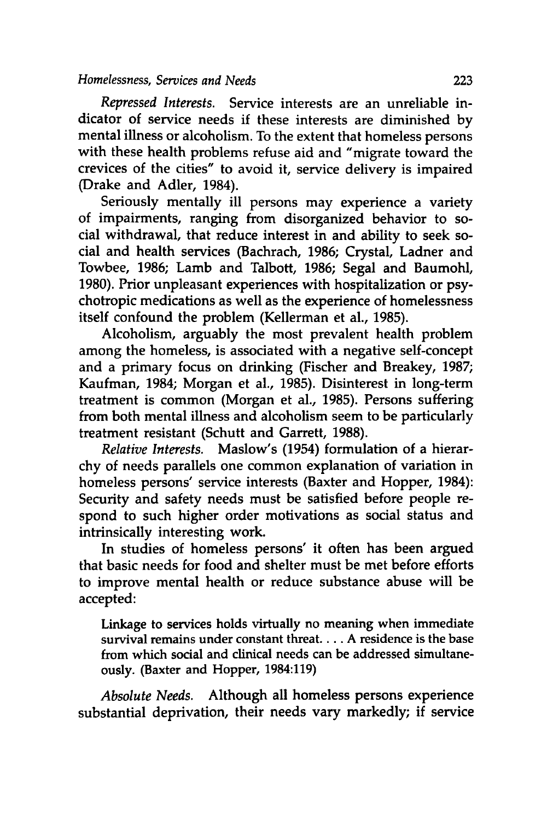## *Homelessness, Services and Needs* **223**

*Repressed Interests.* Service interests are an unreliable indicator of service needs if these interests are diminished **by** mental illness or alcoholism. To the extent that homeless persons with these health problems refuse aid and "migrate toward the crevices of the cities" to avoid it, service delivery is impaired (Drake and Adler, 1984).

Seriously mentally ill persons may experience a variety of impairments, ranging from disorganized behavior to social withdrawal, that reduce interest in and ability to seek social and health services (Bachrach, **1986;** Crystal, Ladner and Towbee, **1986;** Lamb and Talbott, **1986;** Segal and Baumohl, **1980).** Prior unpleasant experiences with hospitalization or psychotropic medications as well as the experience of homelessness itself confound the problem (Kellerman et al., **1985).**

Alcoholism, arguably the most prevalent health problem among the homeless, is associated with a negative self-concept and a primary focus on drinking (Fischer and Breakey, **1987;** Kaufman, 1984; Morgan et al., **1985).** Disinterest in long-term treatment is common (Morgan et al., **1985).** Persons suffering from both mental illness and alcoholism seem to be particularly treatment resistant (Schutt and Garrett, **1988).**

*Relative Interests.* Maslow's (1954) formulation of a hierarchy of needs parallels one common explanation of variation in homeless persons' service interests (Baxter and Hopper, 1984): Security and safety needs must be satisfied before people respond to such higher order motivations as social status and intrinsically interesting work.

In studies of homeless persons' it often has been argued that basic needs for food and shelter must be met before efforts to improve mental health or reduce substance abuse will be accepted:

Linkage to services holds virtually no meaning when immediate survival remains under constant threat **.... A** residence is the base from which social and clinical needs can be addressed simultaneously. (Baxter and Hopper, 1984:119)

*Absolute Needs.* Although all homeless persons experience substantial deprivation, their needs vary markedly; if service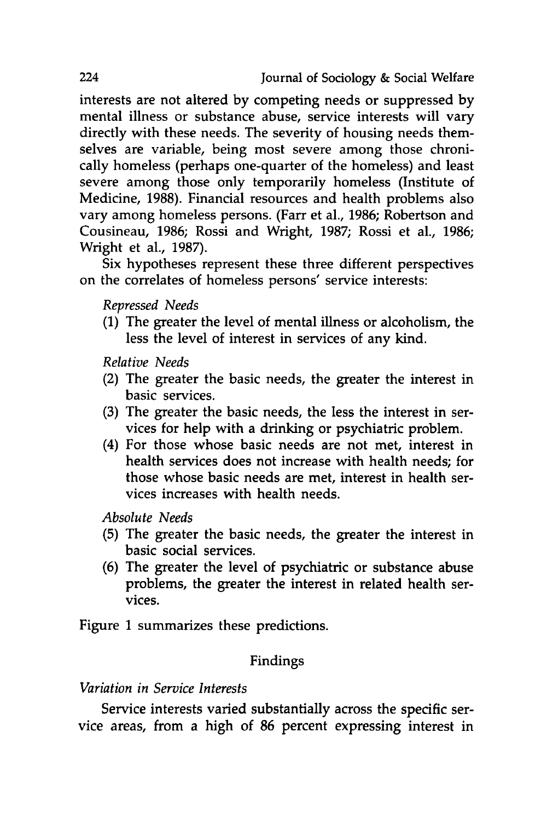interests are not altered **by** competing needs or suppressed **by** mental illness or substance abuse, service interests will vary directly with these needs. The severity of housing needs themselves are variable, being most severe among those chronically homeless (perhaps one-quarter of the homeless) and least severe among those only temporarily homeless (Institute of Medicine, 1988). Financial resources and health problems also vary among homeless persons. (Farr et al., 1986; Robertson and Cousineau, 1986; Rossi and Wright, 1987; Rossi et al., 1986; Wright et al., 1987).

Six hypotheses represent these three different perspectives on the correlates of homeless persons' service interests:

*Repressed Needs*

(1) The greater the level of mental illness or alcoholism, the less the level of interest in services of any kind.

*Relative Needs*

- (2) The greater the basic needs, the greater the interest in basic services.
- (3) The greater the basic needs, the less the interest in services for help with a drinking or psychiatric problem.
- (4) For those whose basic needs are not met, interest in health services does not increase with health needs; for those whose basic needs are met, interest in health services increases with health needs.

*Absolute Needs*

- (5) The greater the basic needs, the greater the interest in basic social services.
- (6) The greater the level of psychiatric or substance abuse problems, the greater the interest in related health services.

Figure 1 summarizes these predictions.

## Findings

## *Variation in Service Interests*

Service interests varied substantially across the specific service areas, from a high of 86 percent expressing interest in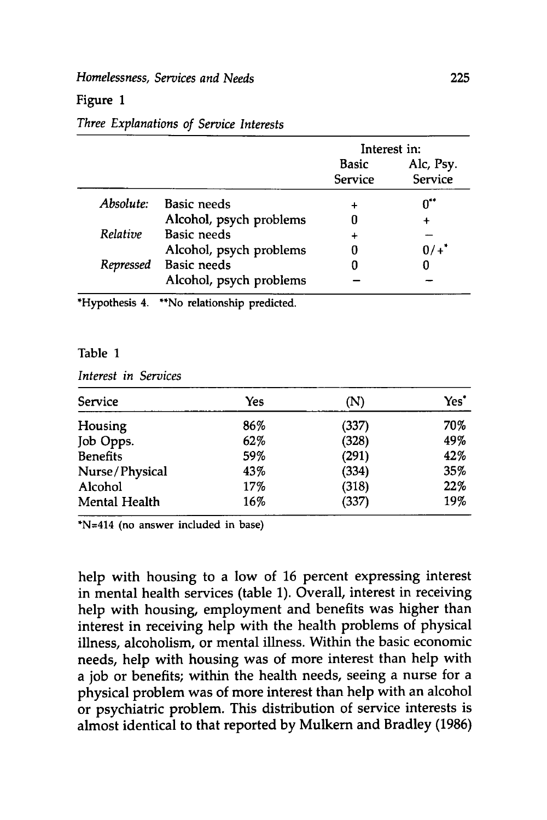## *Homelessness, Services and Needs* **225**

#### Figure **1**

## Interest in: Basic Alc, Psy. Service Service *Absolute:* Basic needs **+ 0-** Alcohol, psych problems **0 +** *Relative* Basic needs **+** Alcohol, psych problems  $0/ +$ <sup>\*</sup> *Repressed* Basic needs **0 0** Alcohol, psych problems **-**

#### *Three Explanations of Service Interests*

\*Hypothesis 4. **\*\*No** relationship predicted.

#### Table **1**

*Interest in Services*

| Service              | Yes | (N)   | Yes' |
|----------------------|-----|-------|------|
| Housing              | 86% | (337) | 70%  |
| Job Opps.            | 62% | (328) | 49%  |
| <b>Benefits</b>      | 59% | (291) | 42%  |
| Nurse/Physical       | 43% | (334) | 35%  |
| Alcohol              | 17% | (318) | 22%  |
| <b>Mental Health</b> | 16% | (337) | 19%  |

\*N=414 (no answer included in base)

help with housing to a low of **16** percent expressing interest in mental health services (table **1).** Overall, interest in receiving help with housing, employment and benefits was higher than interest in receiving help with the health problems of physical illness, alcoholism, or mental illness. Within the basic economic needs, help with housing was of more interest than help with a **job** or benefits; within the health needs, seeing a nurse for a physical problem was of more interest than help with an alcohol or psychiatric problem. This distribution of service interests is almost identical to that reported **by** Mulkern and Bradley **(1986)**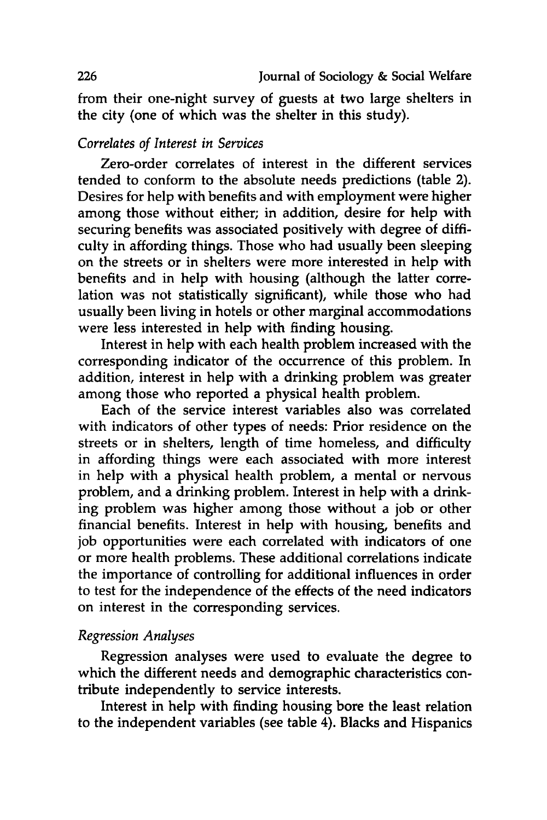from their one-night survey of guests at two large shelters in the city (one of which was the shelter in this study).

## *Correlates of Interest in Services*

Zero-order correlates of interest in the different services tended to conform to the absolute needs predictions (table 2). Desires for help with benefits and with employment were higher among those without either; in addition, desire for help with securing benefits was associated positively with degree of difficulty in affording things. Those who had usually been sleeping on the streets or in shelters were more interested in help with benefits and in help with housing (although the latter correlation was not statistically significant), while those who had usually been living in hotels or other marginal accommodations were less interested in help with finding housing.

Interest in help with each health problem increased with the corresponding indicator of the occurrence of this problem. In addition, interest in help with a drinking problem was greater among those who reported a physical health problem.

Each of the service interest variables also was correlated with indicators of other types of needs: Prior residence on the streets or in shelters, length of time homeless, and difficulty in affording things were each associated with more interest in help with a physical health problem, a mental or nervous problem, and a drinking problem. Interest in help with a drinking problem was higher among those without a **job** or other financial benefits. Interest in help with housing, benefits and **job** opportunities were each correlated with indicators of one or more health problems. These additional correlations indicate the importance of controlling for additional influences in order to test for the independence of the effects of the need indicators on interest in the corresponding services.

## *Regression Analyses*

Regression analyses were used to evaluate the degree to which the different needs and demographic characteristics contribute independently to service interests.

Interest in help with finding housing bore the least relation to the independent variables (see table 4). Blacks and Hispanics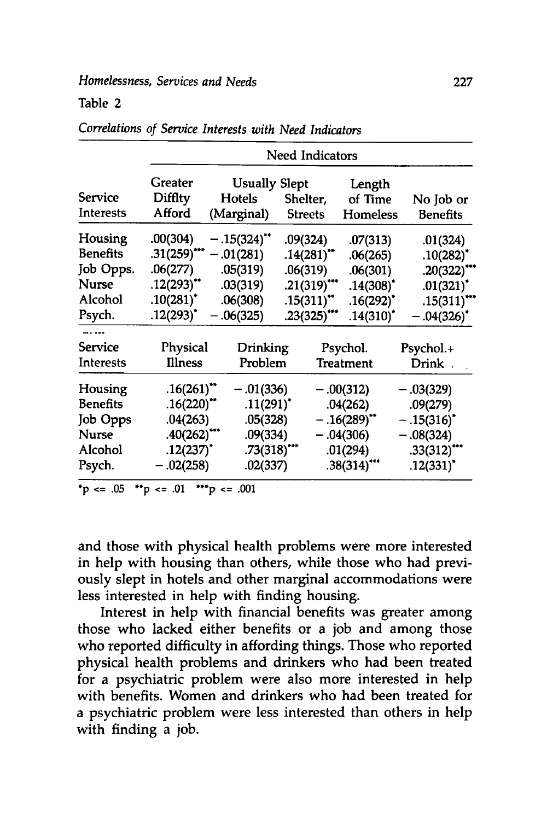## Table 2

|                  | Need Indicators         |                         |                          |                |                         |  |  |
|------------------|-------------------------|-------------------------|--------------------------|----------------|-------------------------|--|--|
|                  | Greater                 | <b>Usually Slept</b>    |                          | Length         |                         |  |  |
| Service          | Difflty                 | Hotels                  | Shelter,                 | of Time        | No Job or               |  |  |
| Interests        | Afford                  | (Marginal)              | <b>Streets</b>           | Homeless       | <b>Benefits</b>         |  |  |
| Housing          | .00(304)                | $-.15(324)$             | .09(324)                 | .07(313)       | .01(324)                |  |  |
| Benefits         | $.31(259)$ ***          | $-.01(281)$             | $.14(281)$ <sup>**</sup> | .06(265)       | $.10(282)^*$            |  |  |
| Job Opps.        | .06(277)                | .05(319)                | .06(319)                 | .06(301)       | .20(322)                |  |  |
| <b>Nurse</b>     | $.12(293)$ **           | .03(319)                | $.21(319)$ ***           | $.14(308)^*$   | $.01(321)$ <sup>*</sup> |  |  |
| Alcohol          | $.10(281)$ <sup>*</sup> | .06(308)                | $.15(311)^{**}$          | $.16(292)^{*}$ | .15(311)                |  |  |
| Psych.           | $.12(293)^*$            | $-.06(325)$             | $.23(325)$ ***           | $.14(310)^*$   | $-.04(326)^*$           |  |  |
| -----<br>Service | Physical                | Drinking                |                          | Psychol.       | Psychol.+               |  |  |
| <b>Interests</b> | <b>Illness</b>          | Problem                 |                          | Treatment      | Drink                   |  |  |
| Housing          | .16(261)                | $-.01(336)$             |                          | $-.00(312)$    | $-.03(329)$             |  |  |
| Benefits         | $.16(220)$ **           | $.11(291)$ <sup>*</sup> |                          | .04(262)       | .09(279)                |  |  |
| Job Opps         | .04(263)                | .05(328)                |                          | $-.16(289)$    | $-.15(316)^*$           |  |  |
| Nurse            | $.40(262)$ <sup>*</sup> | .09(334)                |                          | $-.04(306)$    | $-.08(324)$             |  |  |
| Alcohol          | $.12(237)$ <sup>*</sup> | $.73(318)$ ***          |                          | .01(294)       | $.33(312)^{4}$          |  |  |
| Psych.           | $-.02(258)$             | .02(337)                |                          | $.38(314)$ *** | $.12(331)^*$            |  |  |

*Correlations of Service Interests with Need Indicators*

**\*p <= .05 \*\*p <= .01 \*\*\*p <= .001**

and those with physical health problems were more interested in help with housing than others, while those who had previously slept in hotels and other marginal accommodations were less interested in help with finding housing.

Interest in help with financial benefits was greater among those who lacked either benefits or a **job** and among those who reported difficulty in affording things. Those who reported physical health problems and drinkers who had been treated for a psychiatric problem were also more interested in help with benefits. Women and drinkers who had been treated for a psychiatric problem were less interested than others in help with finding a **job.**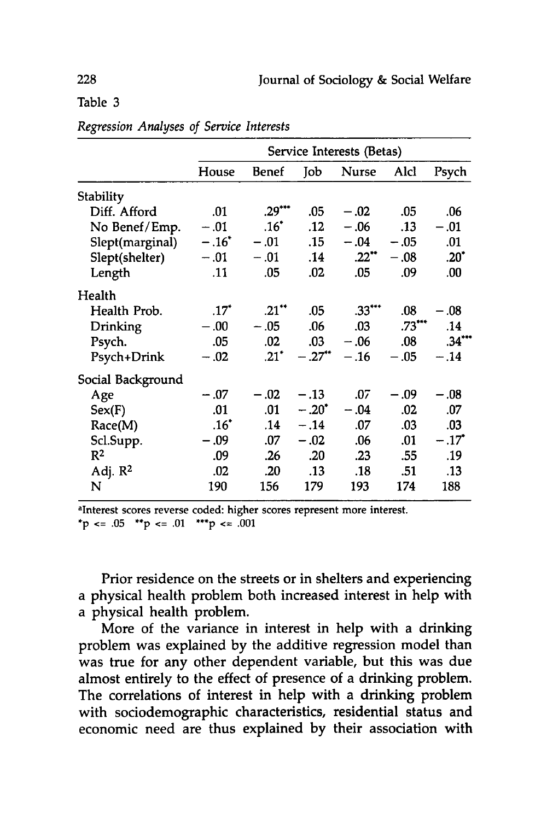Table **3**

|                     | Service Interests (Betas) |                     |                      |              |          |          |
|---------------------|---------------------------|---------------------|----------------------|--------------|----------|----------|
|                     | House                     | Benef               | Job                  | <b>Nurse</b> | Alcl     | Psych    |
| Stability           |                           |                     |                      |              |          |          |
| Diff. Afford        | .01                       | $.29***$            | .05                  | $-.02$       | .05      | .06      |
| No Benef/Emp.       | $-.01$                    | $.16^*$             | .12                  | $-.06$       | .13      | $-.01$   |
| Slept(marginal)     | $-.16"$                   | $-.01$              | .15                  | $-.04$       | $-.05$   | .01      |
| Slept(shelter)      | $-.01$                    | $-.01$              | .14                  | $.22$ **     | $-.08$   | $.20^*$  |
| Length              | .11                       | .05                 | .02                  | .05          | .09      | .00      |
| Health              |                           |                     |                      |              |          |          |
| Health Prob.        | $.17*$                    | $.21$ <sup>**</sup> | .05                  | $.33***$     | .08      | $-.08$   |
| Drinking            | $-.00$                    | $-.05$              | .06                  | .03          | $.73***$ | .14      |
| Psych.              | .05                       | .02                 | .03                  | $-.06$       | .08      | $.34***$ |
| Psych+Drink         | $-.02$                    | $.21$ <sup>*</sup>  | $-.27$ <sup>**</sup> | $-.16$       | $-.05$   | $-.14$   |
| Social Background   |                           |                     |                      |              |          |          |
| Age                 | $-.07$                    | $-.02$              | $-.13$               | .07          | $-.09$   | $-.08$   |
| Sex(F)              | .01                       | .01                 | $-.20^*$             | $-.04$       | .02      | .07      |
| Race(M)             | .16"                      | .14                 | $-.14$               | .07          | .03      | .03      |
| Scl.Supp.           | $-.09$                    | .07                 | $-.02$               | .06          | .01      | $-.17"$  |
| R <sup>2</sup>      | .09                       | .26                 | .20                  | .23          | .55      | .19      |
| Adj. $\mathbb{R}^2$ | .02                       | .20                 | .13                  | .18          | .51      | .13      |
| N                   | 190                       | 156                 | 179                  | 193          | 174      | 188      |

*Regression Analyses of Service Interests*

aInterest scores reverse coded: higher scores represent more interest. **\*p <= .05 \*\*p <= .01 \*\*\*p <= .001**

Prior residence on the streets or in shelters and experiencing a physical health problem both increased interest in help with a physical health problem.

More of the variance in interest in help with a drinking problem was explained **by** the additive regression model than was true for any other dependent variable, but this was due almost entirely to the effect of presence of a drinking problem. The correlations of interest in help with a drinking problem with sociodemographic characteristics, residential status and economic need are thus explained **by** their association with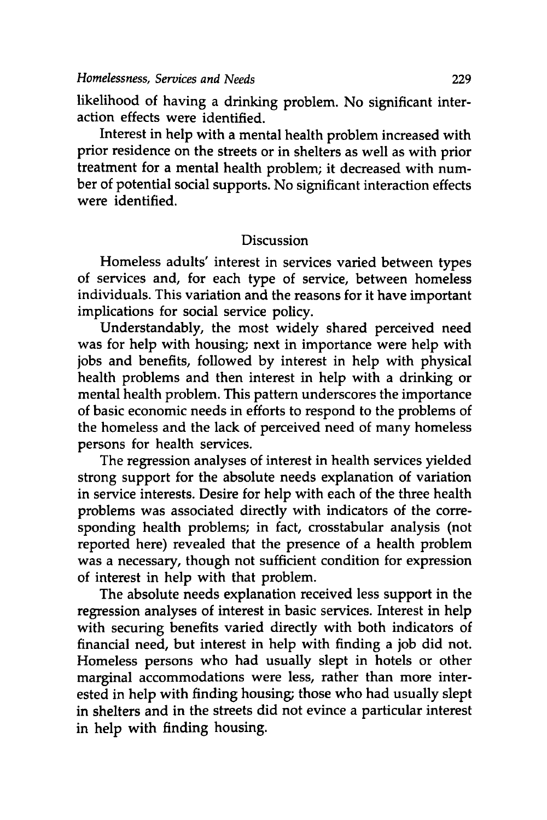likelihood of having a drinking problem. No significant interaction effects were identified.

Interest in help with a mental health problem increased with prior residence on the streets or in shelters as well as with prior treatment for a mental health problem; it decreased with number of potential social supports. No significant interaction effects were identified.

## Discussion

Homeless adults' interest in services varied between types of services and, for each type of service, between homeless individuals. This variation and the reasons for it have important implications for social service policy.

Understandably, the most widely shared perceived need was for help with housing; next in importance were help with jobs and benefits, followed **by** interest in help with physical health problems and then interest in help with a drinking or mental health problem. This pattern underscores the importance of basic economic needs in efforts to respond to the problems of the homeless and the lack of perceived need of many homeless persons for health services.

The regression analyses of interest in health services yielded strong support for the absolute needs explanation of variation in service interests. Desire for help with each of the three health problems was associated directly with indicators of the corresponding health problems; in fact, crosstabular analysis (not reported here) revealed that the presence of a health problem was a necessary, though not sufficient condition for expression of interest in help with that problem.

The absolute needs explanation received less support in the regression analyses of interest in basic services. Interest in help with securing benefits varied directly with both indicators of financial need, but interest in help with finding a **job** did not. Homeless persons who had usually slept in hotels or other marginal accommodations were less, rather than more interested in help with finding housing; those who had usually slept in shelters and in the streets did not evince a particular interest in help with finding housing.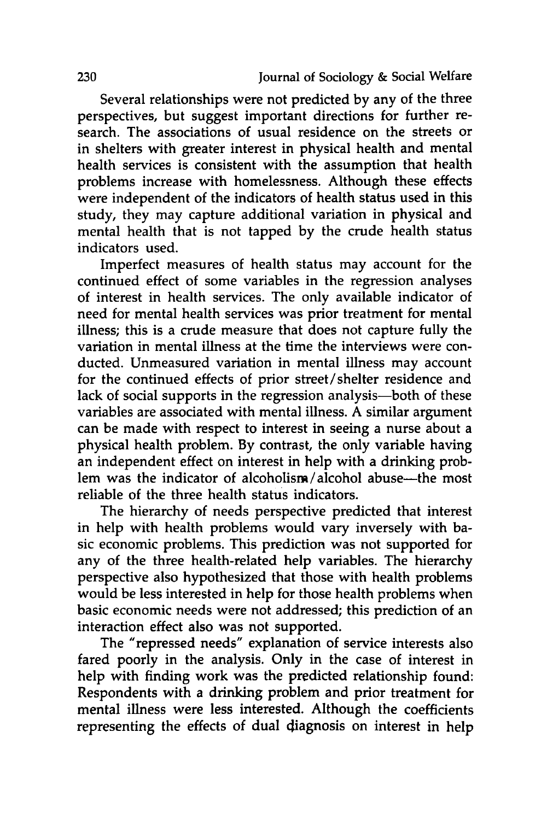Several relationships were not predicted **by** any of the three perspectives, but suggest important directions for further research. The associations of usual residence on the streets or in shelters with greater interest in physical health and mental health services is consistent with the assumption that health problems increase with homelessness. Although these effects were independent of the indicators of health status used in this study, they may capture additional variation in physical and mental health that is not tapped **by** the crude health status indicators used.

Imperfect measures of health status may account for the continued effect of some variables in the regression analyses of interest in health services. The only available indicator of need for mental health services was prior treatment for mental illness; this is a crude measure that does not capture fully the variation in mental illness at the time the interviews were conducted. Unmeasured variation in mental illness may account for the continued effects of prior street/shelter residence and lack of social supports in the regression analysis-both of these variables are associated with mental illness. A similar argument can be made with respect to interest in seeing a nurse about a physical health problem. **By** contrast, the only variable having an independent effect on interest in help with a drinking problem was the indicator of alcoholism/alcohol abuse—the most reliable of the three health status indicators.

The hierarchy of needs perspective predicted that interest in help with health problems would vary inversely with basic economic problems. This prediction was not supported for any of the three health-related help variables. The hierarchy perspective also hypothesized that those with health problems would be less interested in help for those health problems when basic economic needs were not addressed; this prediction of an interaction effect also was not supported.

The "repressed needs" explanation of service interests also fared poorly in the analysis. Only in the case of interest in help with finding work was the predicted relationship found: Respondents with a drinking problem and prior treatment for mental illness were less interested. Although the coefficients representing the effects of dual diagnosis on interest in help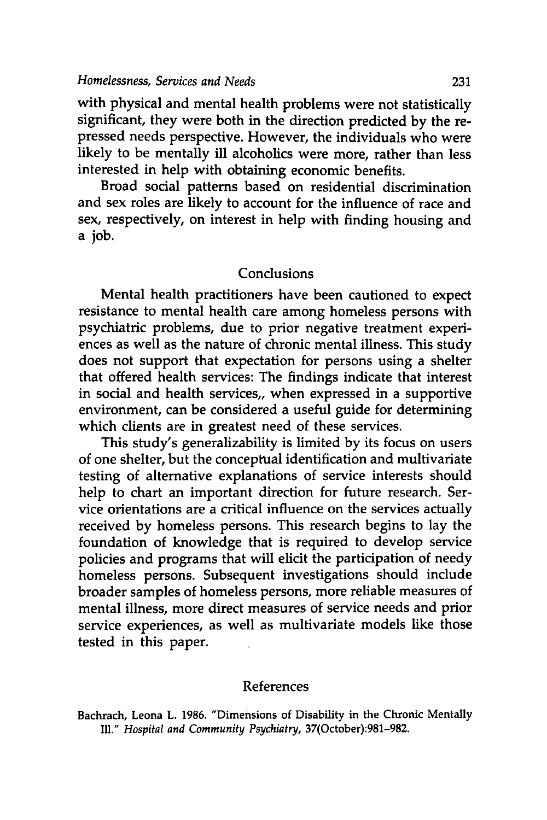with physical and mental health problems were not statistically significant, they were both in the direction predicted **by** the repressed needs perspective. However, the individuals who were likely to be mentally ill alcoholics were more, rather than less interested in help with obtaining economic benefits.

Broad social patterns based on residential discrimination and sex roles are likely to account for the influence of race and sex, respectively, on interest in help with finding housing and a job.

## Conclusions

Mental health practitioners have been cautioned to expect resistance to mental health care among homeless persons with psychiatric problems, due to prior negative treatment experiences as well as the nature of chronic mental illness. This study does not support that expectation for persons using a shelter that offered health services: The findings indicate that interest in social and health services,, when expressed in a supportive environment, can be considered a useful guide for determining which clients are in greatest need of these services.

This study's generalizability is limited **by** its focus on users of one shelter, but the conceptual identification and multivariate testing of alternative explanations of service interests should help to chart an important direction for future research. Service orientations are a critical influence on the services actually received **by** homeless persons. This research begins to lay the foundation of knowledge that is required to develop service policies and programs that will elicit the participation of needy homeless persons. Subsequent investigations should include broader samples of homeless persons, more reliable measures of mental illness, more direct measures of service needs and prior service experiences, as well as multivariate models like those tested in this paper.

## References

Bachrach, Leona L. **1986.** "Dimensions of Disability in the Chronic Mentally **Il."** *Hospital and Community Psychiatry,* 37(October):981-982.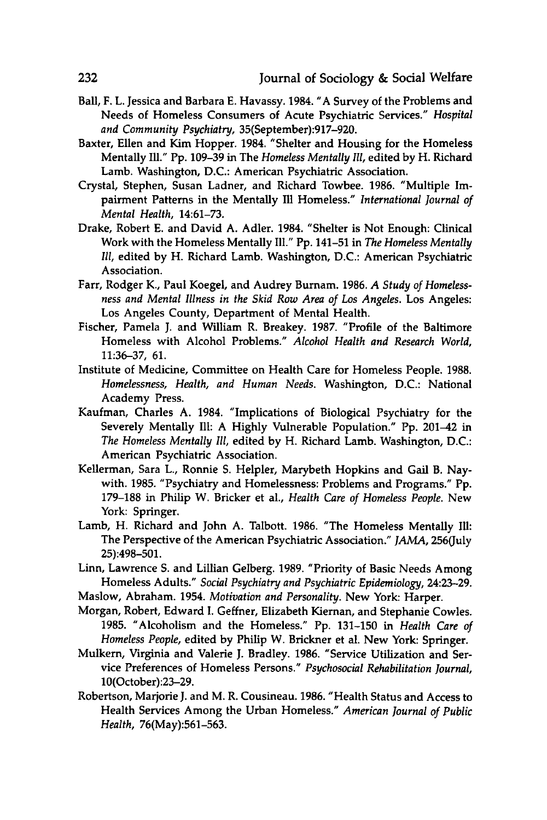- Ball, F. L. Jessica and Barbara **E.** Havassy. 1984. **"A** Survey of the Problems and Needs of Homeless Consumers of Acute Psychiatric Services." *Hospital and Community Psychiatry,* 35(September):917-920.
- Baxter, Ellen and Kim Hopper. 1984. "Shelter and Housing for the Homeless Mentally **Ill." Pp. 109-39** in The *Homeless Mentally Ill,* edited **by** H. Richard Lamb. Washington, **D.C.:** American Psychiatric Association.
- Crystal, Stephen, Susan Ladner, and Richard Towbee. **1986.** "Multiple Impairment Patterns in the Mentally Ill Homeless." *International Journal of Mental Health,* **14:61-73.**
- Drake, Robert **E.** and David **A.** Adler. 1984. "Shelter is Not Enough: Clinical Work with the Homeless Mentally **Ill." Pp.** 141-51 in *The Homeless Mentally Ill,* edited **by** H. Richard Lamb. Washington, **D.C.:** American Psychiatric Association.
- Farr, Rodger K., Paul Koegel, and Audrey Burnam. **1986.** *A Study of Homelessness and Mental Illness in the Skid Row Area of Los Angeles.* Los Angeles: Los Angeles County, Department of Mental Health.
- Fischer, Pamela **J.** and William R. Breakey. **1987.** "Profile of the Baltimore Homeless with Alcohol Problems." *Alcohol Health and Research World,* **11:36-37, 61.**
- Institute of Medicine, Committee on Health Care for Homeless People. **1988.** *Homelessness, Health, and Human Needs.* Washington, **D.C.:** National Academy Press.
- Kaufman, Charles **A.** 1984. "Implications of Biological Psychiatry for the Severely Mentally Ill: A **Highly** Vulnerable Population." **Pp.** 201-42 in *The Homeless Mentally Ill,* edited **by** H. Richard Lamb. Washington, **D.C.:** American Psychiatric Association.
- Kellerman, Sara L., Ronnie **S.** Helpler, Marybeth Hopkins and Gail B. Naywith. **1985.** "Psychiatry and Homelessness: Problems and Programs." **Pp. 179-188** in Philip W. Bricker et al., *Health Care of Homeless People.* New York: Springer.
- Lamb, H. Richard and John **A.** Talbott. **1986.** "The Homeless Mentally **Ill:** The Perspective of the American Psychiatric Association." *JAMA,* 256(July **25):498-501.**
- Linn, Lawrence **S.** and Lillian Gelberg. **1989.** "Priority of Basic Needs Among Homeless Adults." *Social Psychiatry and Psychiatric Epidemiology,* 24:23-29.
- Maslow, Abraham. 1954. *Motivation and Personality.* New York: Harper.
- Morgan, Robert, Edward **I.** Geffner, Elizabeth Kiernan, and Stephanie Cowles. **1985.** "Alcoholism and the Homeless." **Pp. 131-150** in *Health Care of Homeless People,* edited **by** Philip W. Brickner et al. New York: Springer.
- Mulkern, Virginia and Valerie **J.** Bradley. **1986.** "Service Utilization and Service Preferences of Homeless Persons." *Psychosocial Rehabilitation Journal,* 10(October):23-29.
- Robertson, Marjorie **J.** and M. R. Cousineau. **1986.** "Health Status and Access to Health Services Among the Urban Homeless." *American Journal of Public Health,* 76(May):561-563.